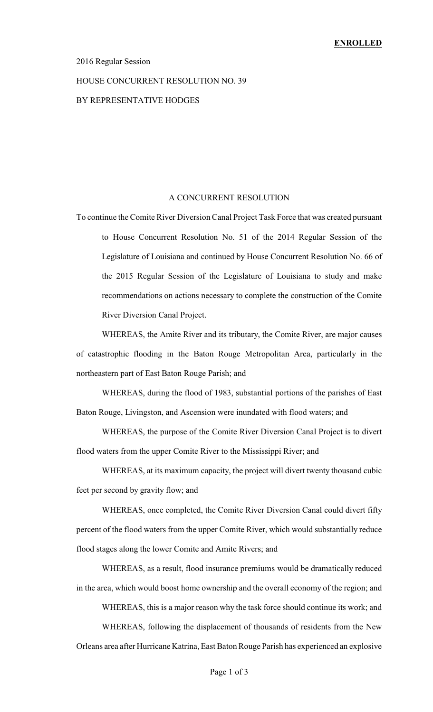#### 2016 Regular Session

#### HOUSE CONCURRENT RESOLUTION NO. 39

### BY REPRESENTATIVE HODGES

#### A CONCURRENT RESOLUTION

To continue the Comite River Diversion Canal Project Task Force that was created pursuant to House Concurrent Resolution No. 51 of the 2014 Regular Session of the Legislature of Louisiana and continued by House Concurrent Resolution No. 66 of the 2015 Regular Session of the Legislature of Louisiana to study and make recommendations on actions necessary to complete the construction of the Comite River Diversion Canal Project.

WHEREAS, the Amite River and its tributary, the Comite River, are major causes of catastrophic flooding in the Baton Rouge Metropolitan Area, particularly in the northeastern part of East Baton Rouge Parish; and

WHEREAS, during the flood of 1983, substantial portions of the parishes of East Baton Rouge, Livingston, and Ascension were inundated with flood waters; and

WHEREAS, the purpose of the Comite River Diversion Canal Project is to divert flood waters from the upper Comite River to the Mississippi River; and

WHEREAS, at its maximum capacity, the project will divert twenty thousand cubic feet per second by gravity flow; and

WHEREAS, once completed, the Comite River Diversion Canal could divert fifty percent of the flood waters from the upper Comite River, which would substantially reduce flood stages along the lower Comite and Amite Rivers; and

WHEREAS, as a result, flood insurance premiums would be dramatically reduced in the area, which would boost home ownership and the overall economy of the region; and

WHEREAS, this is a major reason why the task force should continue its work; and

WHEREAS, following the displacement of thousands of residents from the New Orleans area after Hurricane Katrina, East Baton Rouge Parish has experienced an explosive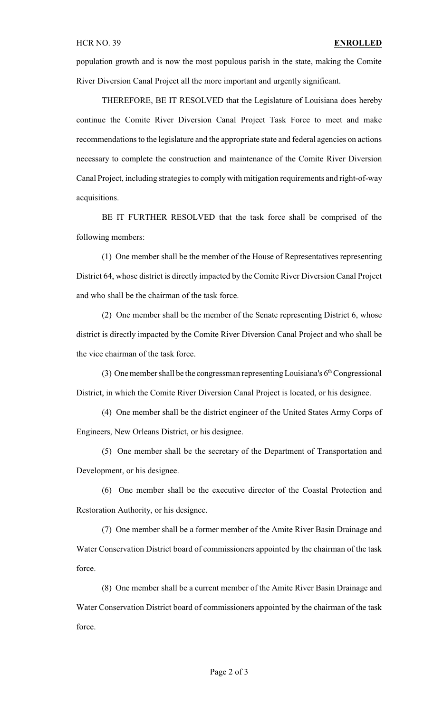population growth and is now the most populous parish in the state, making the Comite River Diversion Canal Project all the more important and urgently significant.

THEREFORE, BE IT RESOLVED that the Legislature of Louisiana does hereby continue the Comite River Diversion Canal Project Task Force to meet and make recommendations to the legislature and the appropriate state and federal agencies on actions necessary to complete the construction and maintenance of the Comite River Diversion Canal Project, including strategies to comply with mitigation requirements and right-of-way acquisitions.

BE IT FURTHER RESOLVED that the task force shall be comprised of the following members:

(1) One member shall be the member of the House of Representatives representing District 64, whose district is directly impacted by the Comite River Diversion Canal Project and who shall be the chairman of the task force.

(2) One member shall be the member of the Senate representing District 6, whose district is directly impacted by the Comite River Diversion Canal Project and who shall be the vice chairman of the task force.

(3) One member shall be the congressman representing Louisiana's  $6<sup>th</sup>$  Congressional District, in which the Comite River Diversion Canal Project is located, or his designee.

(4) One member shall be the district engineer of the United States Army Corps of Engineers, New Orleans District, or his designee.

(5) One member shall be the secretary of the Department of Transportation and Development, or his designee.

(6) One member shall be the executive director of the Coastal Protection and Restoration Authority, or his designee.

(7) One member shall be a former member of the Amite River Basin Drainage and Water Conservation District board of commissioners appointed by the chairman of the task force.

(8) One member shall be a current member of the Amite River Basin Drainage and Water Conservation District board of commissioners appointed by the chairman of the task force.